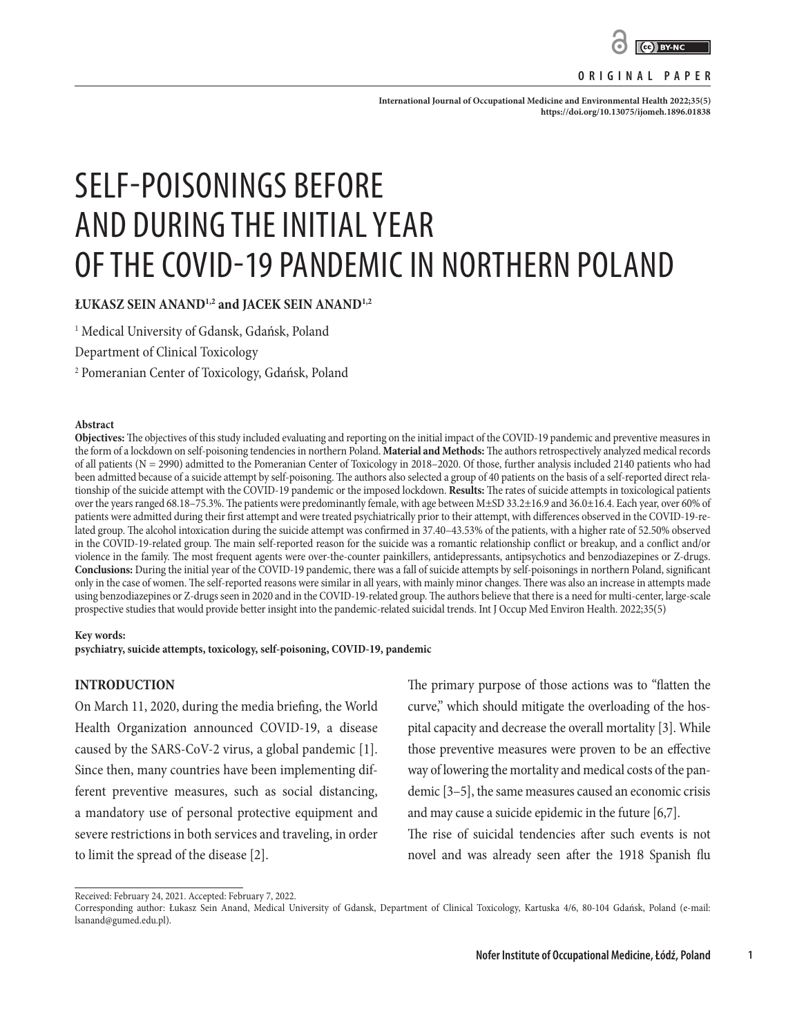

#### **ORIGINAL PAPER**

International Journal of Occupational Medicine and Environmental Health 2022;35(5) **<https://doi.org/10.13075/ijomeh.1896.01838>**

# SELF-POISONINGS BEFORE AND DURING THE INITIAL YEAR OF THE COVID-19 PANDEMIC IN NORTHERN POLAND

**ŁUKASZ SEIN ANAND1,2 and JACEK SEIN ANAND1,2**

1 Medical University of Gdansk, Gdańsk, Poland

Department of Clinical Toxicology

2 Pomeranian Center of Toxicology, Gdańsk, Poland

#### **Abstract**

**Objectives:** The objectives of this study included evaluating and reporting on the initial impact of the COVID-19 pandemic and preventive measures in the form of a lockdown on self-poisoning tendencies in northern Poland. **Material and Methods:** The authors retrospectively analyzed medical records of all patients (N = 2990) admitted to the Pomeranian Center of Toxicology in 2018–2020. Of those, further analysis included 2140 patients who had been admitted because of a suicide attempt by self-poisoning. The authors also selected a group of 40 patients on the basis of a self-reported direct relationship of the suicide attempt with the COVID-19 pandemic or the imposed lockdown. **Results:** The rates of suicide attempts in toxicological patients over the years ranged 68.18–75.3%. The patients were predominantly female, with age between M±SD 33.2±16.9 and 36.0±16.4. Each year, over 60% of patients were admitted during their first attempt and were treated psychiatrically prior to their attempt, with differences observed in the COVID-19-related group. The alcohol intoxication during the suicide attempt was confirmed in 37.40–43.53% of the patients, with a higher rate of 52.50% observed in the COVID-19-related group. The main self-reported reason for the suicide was a romantic relationship conflict or breakup, and a conflict and/or violence in the family. The most frequent agents were over-the-counter painkillers, antidepressants, antipsychotics and benzodiazepines or Z-drugs. **Conclusions:** During the initial year of the COVID-19 pandemic, there was a fall of suicide attempts by self-poisonings in northern Poland, significant only in the case of women. The self-reported reasons were similar in all years, with mainly minor changes. There was also an increase in attempts made using benzodiazepines or Z-drugs seen in 2020 and in the COVID-19-related group. The authors believe that there is a need for multi-center, large-scale prospective studies that would provide better insight into the pandemic-related suicidal trends. Int J Occup Med Environ Health. 2022;35(5)

#### **Key words:**

**psychiatry, suicide attempts, toxicology, self-poisoning, COVID-19, pandemic**

### **INTRODUCTION**

On March 11, 2020, during the media briefing, the World Health Organization announced COVID-19, a disease caused by the SARS-CoV-2 virus, a global pandemic [1]. Since then, many countries have been implementing different preventive measures, such as social distancing, a mandatory use of personal protective equipment and severe restrictions in both services and traveling, in order to limit the spread of the disease [2].

The primary purpose of those actions was to "flatten the curve," which should mitigate the overloading of the hospital capacity and decrease the overall mortality [3]. While those preventive measures were proven to be an effective way of lowering the mortality and medical costs of the pandemic [3–5], the same measures caused an economic crisis and may cause a suicide epidemic in the future [6,7].

The rise of suicidal tendencies after such events is not novel and was already seen after the 1918 Spanish flu

Received: February 24, 2021. Accepted: February 7, 2022.

**1**

Corresponding author: Łukasz Sein Anand, Medical University of Gdansk, Department of Clinical Toxicology, Kartuska 4/6, 80-104 Gdańsk, Poland (e-mail: lsanand@gumed.edu.pl).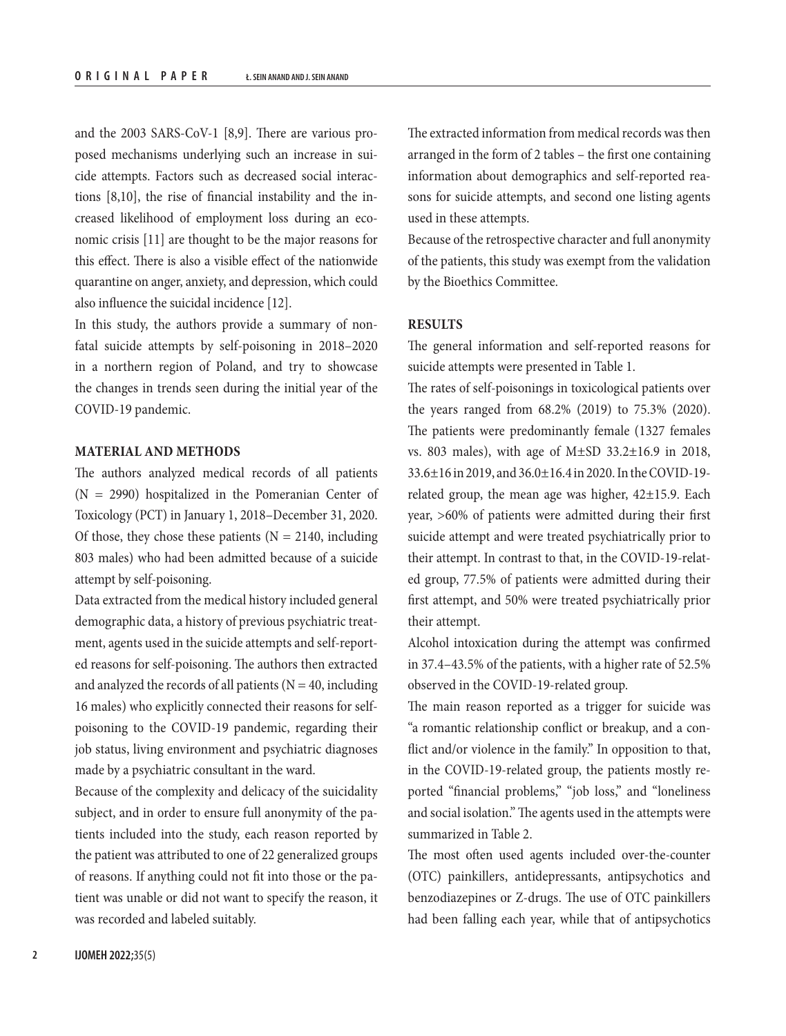and the 2003 SARS-CoV-1 [8,9]. There are various proposed mechanisms underlying such an increase in suicide attempts. Factors such as decreased social interactions [8,10], the rise of financial instability and the increased likelihood of employment loss during an economic crisis [11] are thought to be the major reasons for this effect. There is also a visible effect of the nationwide quarantine on anger, anxiety, and depression, which could also influence the suicidal incidence [12].

In this study, the authors provide a summary of nonfatal suicide attempts by self-poisoning in 2018–2020 in a northern region of Poland, and try to showcase the changes in trends seen during the initial year of the COVID-19 pandemic.

## **MATERIAL AND METHODS**

The authors analyzed medical records of all patients  $(N = 2990)$  hospitalized in the Pomeranian Center of Toxicology (PCT) in January 1, 2018–December 31, 2020. Of those, they chose these patients ( $N = 2140$ , including 803 males) who had been admitted because of a suicide attempt by self-poisoning.

Data extracted from the medical history included general demographic data, a history of previous psychiatric treatment, agents used in the suicide attempts and self-reported reasons for self-poisoning. The authors then extracted and analyzed the records of all patients ( $N = 40$ , including 16 males) who explicitly connected their reasons for selfpoisoning to the COVID-19 pandemic, regarding their job status, living environment and psychiatric diagnoses made by a psychiatric consultant in the ward.

Because of the complexity and delicacy of the suicidality subject, and in order to ensure full anonymity of the patients included into the study, each reason reported by the patient was attributed to one of 22 generalized groups of reasons. If anything could not fit into those or the patient was unable or did not want to specify the reason, it was recorded and labeled suitably.

The extracted information from medical records was then arranged in the form of 2 tables – the first one containing information about demographics and self-reported reasons for suicide attempts, and second one listing agents used in these attempts.

Because of the retrospective character and full anonymity of the patients, this study was exempt from the validation by the Bioethics Committee.

# **RESULTS**

The general information and self-reported reasons for suicide attempts were presented in Table 1.

The rates of self-poisonings in toxicological patients over the years ranged from 68.2% (2019) to 75.3% (2020). The patients were predominantly female (1327 females vs. 803 males), with age of M±SD 33.2±16.9 in 2018, 33.6±16 in 2019, and 36.0±16.4 in 2020. In the COVID-19 related group, the mean age was higher, 42±15.9. Each year, >60% of patients were admitted during their first suicide attempt and were treated psychiatrically prior to their attempt. In contrast to that, in the COVID-19-related group, 77.5% of patients were admitted during their first attempt, and 50% were treated psychiatrically prior their attempt.

Alcohol intoxication during the attempt was confirmed in 37.4–43.5% of the patients, with a higher rate of 52.5% observed in the COVID-19-related group.

The main reason reported as a trigger for suicide was "a romantic relationship conflict or breakup, and a conflict and/or violence in the family." In opposition to that, in the COVID-19-related group, the patients mostly reported "financial problems," "job loss," and "loneliness and social isolation." The agents used in the attempts were summarized in Table 2.

The most often used agents included over-the-counter (OTC) painkillers, antidepressants, antipsychotics and benzodiazepines or Z-drugs. The use of OTC painkillers had been falling each year, while that of antipsychotics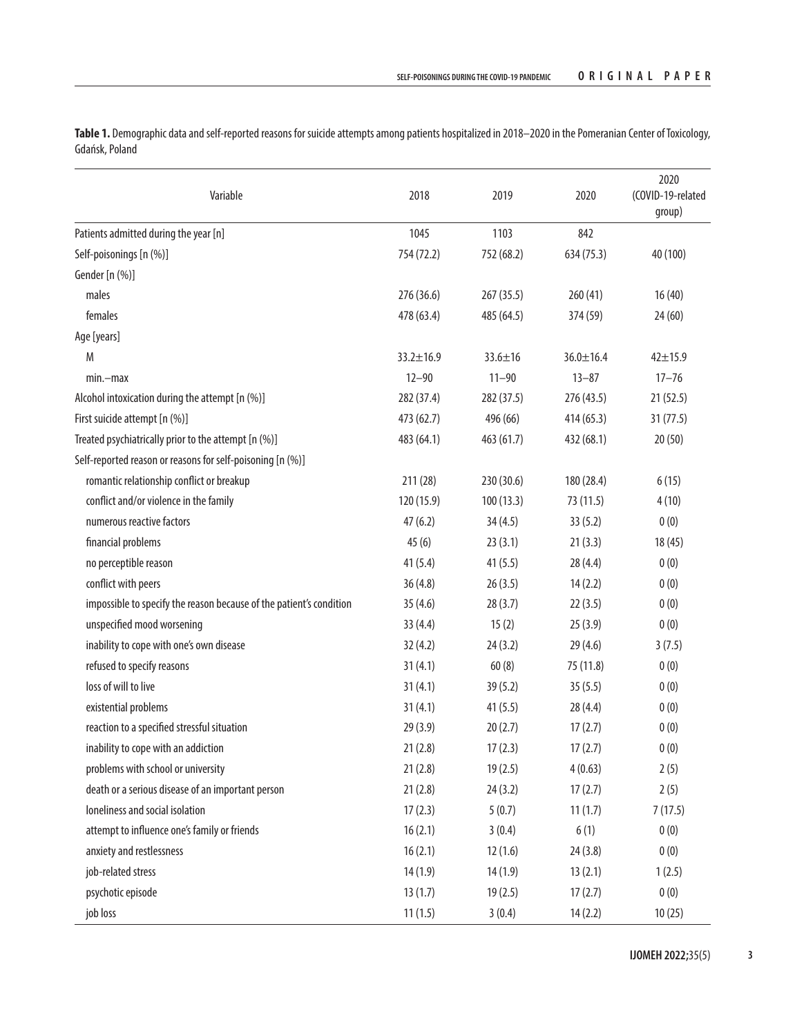**Table 1.** Demographic data and self-reported reasons for suicide attempts among patients hospitalized in 2018–2020 in the Pomeranian Center of Toxicology, Gdańsk, Poland

| Variable                                                            | 2018            | 2019       | 2020            | 2020<br>(COVID-19-related<br>group) |
|---------------------------------------------------------------------|-----------------|------------|-----------------|-------------------------------------|
| Patients admitted during the year [n]                               | 1045            | 1103       | 842             |                                     |
| Self-poisonings [n (%)]                                             | 754 (72.2)      | 752 (68.2) | 634 (75.3)      | 40 (100)                            |
| Gender [n (%)]                                                      |                 |            |                 |                                     |
| males                                                               | 276 (36.6)      | 267 (35.5) | 260(41)         | 16(40)                              |
| females                                                             | 478 (63.4)      | 485 (64.5) | 374 (59)        | 24(60)                              |
| Age [years]                                                         |                 |            |                 |                                     |
| M                                                                   | $33.2 \pm 16.9$ | 33.6±16    | $36.0 \pm 16.4$ | $42 + 15.9$                         |
| $min$ -max                                                          | $12 - 90$       | $11 - 90$  | $13 - 87$       | $17 - 76$                           |
| Alcohol intoxication during the attempt [n (%)]                     | 282 (37.4)      | 282 (37.5) | 276 (43.5)      | 21(52.5)                            |
| First suicide attempt [n (%)]                                       | 473 (62.7)      | 496 (66)   | 414 (65.3)      | 31(77.5)                            |
| Treated psychiatrically prior to the attempt [n (%)]                | 483 (64.1)      | 463 (61.7) | 432 (68.1)      | 20(50)                              |
| Self-reported reason or reasons for self-poisoning [n (%)]          |                 |            |                 |                                     |
| romantic relationship conflict or breakup                           | 211 (28)        | 230 (30.6) | 180 (28.4)      | 6(15)                               |
| conflict and/or violence in the family                              | 120 (15.9)      | 100(13.3)  | 73 (11.5)       | 4(10)                               |
| numerous reactive factors                                           | 47(6.2)         | 34(4.5)    | 33(5.2)         | 0(0)                                |
| financial problems                                                  | 45(6)           | 23(3.1)    | 21(3.3)         | 18(45)                              |
| no perceptible reason                                               | 41(5.4)         | 41(5.5)    | 28(4.4)         | 0(0)                                |
| conflict with peers                                                 | 36(4.8)         | 26(3.5)    | 14(2.2)         | 0(0)                                |
| impossible to specify the reason because of the patient's condition | 35(4.6)         | 28(3.7)    | 22(3.5)         | 0(0)                                |
| unspecified mood worsening                                          | 33(4.4)         | 15(2)      | 25(3.9)         | 0(0)                                |
| inability to cope with one's own disease                            | 32(4.2)         | 24(3.2)    | 29(4.6)         | 3(7.5)                              |
| refused to specify reasons                                          | 31(4.1)         | 60(8)      | 75 (11.8)       | 0(0)                                |
| loss of will to live                                                | 31(4.1)         | 39(5.2)    | 35(5.5)         | 0(0)                                |
| existential problems                                                | 31(4.1)         | 41(5.5)    | 28(4.4)         | 0(0)                                |
| reaction to a specified stressful situation                         | 29(3.9)         | 20(2.7)    | 17(2.7)         | 0(0)                                |
| inability to cope with an addiction                                 | 21(2.8)         | 17(2.3)    | 17(2.7)         | 0(0)                                |
| problems with school or university                                  | 21(2.8)         | 19(2.5)    | 4(0.63)         | 2(5)                                |
| death or a serious disease of an important person                   | 21(2.8)         | 24(3.2)    | 17(2.7)         | 2(5)                                |
| loneliness and social isolation                                     | 17(2.3)         | 5(0.7)     | 11(1.7)         | 7(17.5)                             |
| attempt to influence one's family or friends                        | 16(2.1)         | 3(0.4)     | 6(1)            | 0(0)                                |
| anxiety and restlessness                                            | 16(2.1)         | 12(1.6)    | 24(3.8)         | 0(0)                                |
| job-related stress                                                  | 14(1.9)         | 14(1.9)    | 13(2.1)         | 1(2.5)                              |
| psychotic episode                                                   | 13(1.7)         | 19(2.5)    | 17(2.7)         | 0(0)                                |
| job loss                                                            | 11(1.5)         | 3(0.4)     | 14(2.2)         | 10(25)                              |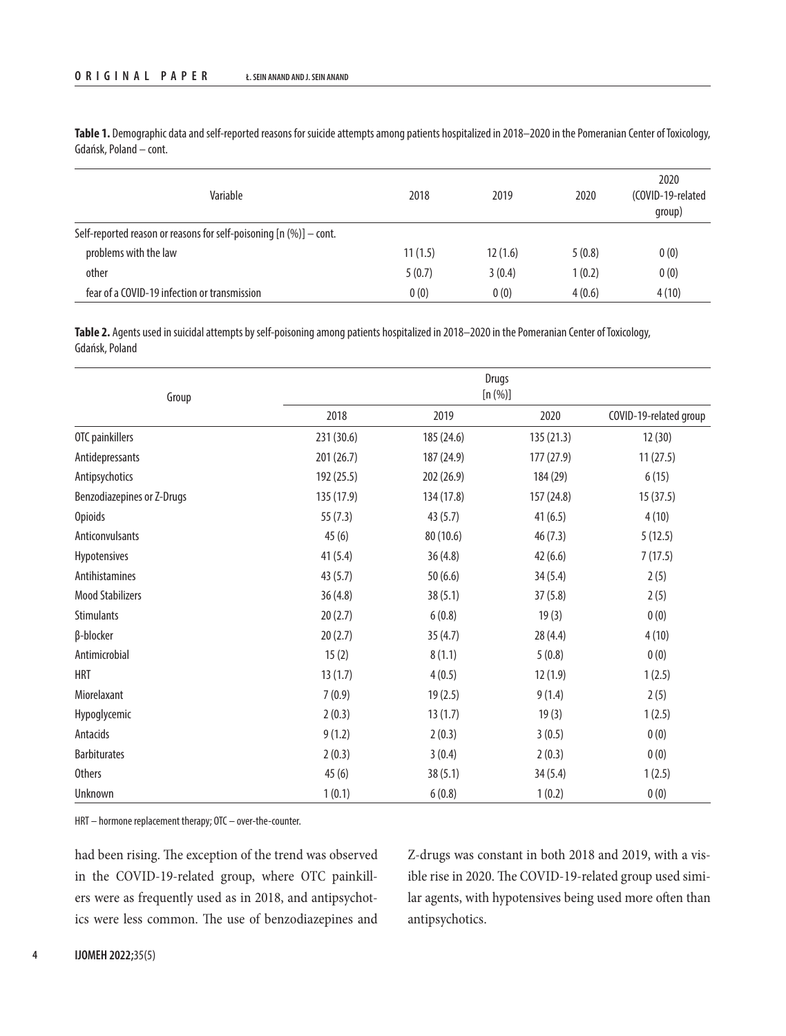**Table 1.** Demographic data and self-reported reasons for suicide attempts among patients hospitalized in 2018–2020 in the Pomeranian Center of Toxicology, Gdańsk, Poland – cont.

| Variable                                                             | 2018    | 2019    | 2020   | 2020<br>(COVID-19-related<br>group) |
|----------------------------------------------------------------------|---------|---------|--------|-------------------------------------|
| Self-reported reason or reasons for self-poisoning $[n (%)] - cont.$ |         |         |        |                                     |
| problems with the law                                                | 11(1.5) | 12(1.6) | 5(0.8) | 0(0)                                |
| other                                                                | 5(0.7)  | 3(0.4)  | 1(0.2) | 0(0)                                |
| fear of a COVID-19 infection or transmission                         | 0(0)    | 0(0)    | 4(0.6) | 4(10)                               |

**Table 2.** Agents used in suicidal attempts by self-poisoning among patients hospitalized in 2018–2020 in the Pomeranian Center of Toxicology, Gdańsk, Poland

| Group                      | <b>Drugs</b><br>[n (%)] |            |            |                        |
|----------------------------|-------------------------|------------|------------|------------------------|
|                            | 2018                    | 2019       | 2020       | COVID-19-related group |
| OTC painkillers            | 231 (30.6)              | 185 (24.6) | 135 (21.3) | 12(30)                 |
| Antidepressants            | 201 (26.7)              | 187 (24.9) | 177 (27.9) | 11(27.5)               |
| Antipsychotics             | 192 (25.5)              | 202 (26.9) | 184 (29)   | 6(15)                  |
| Benzodiazepines or Z-Drugs | 135 (17.9)              | 134 (17.8) | 157 (24.8) | 15(37.5)               |
| <b>Opioids</b>             | 55(7.3)                 | 43 (5.7)   | 41(6.5)    | 4(10)                  |
| Anticonvulsants            | 45(6)                   | 80 (10.6)  | 46(7.3)    | 5(12.5)                |
| Hypotensives               | 41(5.4)                 | 36(4.8)    | 42(6.6)    | 7(17.5)                |
| Antihistamines             | 43 (5.7)                | 50(6.6)    | 34(5.4)    | 2(5)                   |
| <b>Mood Stabilizers</b>    | 36(4.8)                 | 38(5.1)    | 37(5.8)    | 2(5)                   |
| <b>Stimulants</b>          | 20(2.7)                 | 6(0.8)     | 19(3)      | 0(0)                   |
| β-blocker                  | 20(2.7)                 | 35(4.7)    | 28(4.4)    | 4(10)                  |
| Antimicrobial              | 15(2)                   | 8(1.1)     | 5(0.8)     | 0(0)                   |
| <b>HRT</b>                 | 13(1.7)                 | 4(0.5)     | 12(1.9)    | 1(2.5)                 |
| Miorelaxant                | 7(0.9)                  | 19(2.5)    | 9(1.4)     | 2(5)                   |
| Hypoglycemic               | 2(0.3)                  | 13(1.7)    | 19(3)      | 1(2.5)                 |
| Antacids                   | 9(1.2)                  | 2(0.3)     | 3(0.5)     | 0(0)                   |
| <b>Barbiturates</b>        | 2(0.3)                  | 3(0.4)     | 2(0.3)     | 0(0)                   |
| <b>Others</b>              | 45(6)                   | 38(5.1)    | 34(5.4)    | 1(2.5)                 |
| Unknown                    | 1(0.1)                  | 6(0.8)     | 1(0.2)     | 0(0)                   |

HRT – hormone replacement therapy; OTC – over-the-counter.

had been rising. The exception of the trend was observed in the COVID-19-related group, where OTC painkillers were as frequently used as in 2018, and antipsychotics were less common. The use of benzodiazepines and

Z-drugs was constant in both 2018 and 2019, with a visible rise in 2020. The COVID-19-related group used similar agents, with hypotensives being used more often than antipsychotics.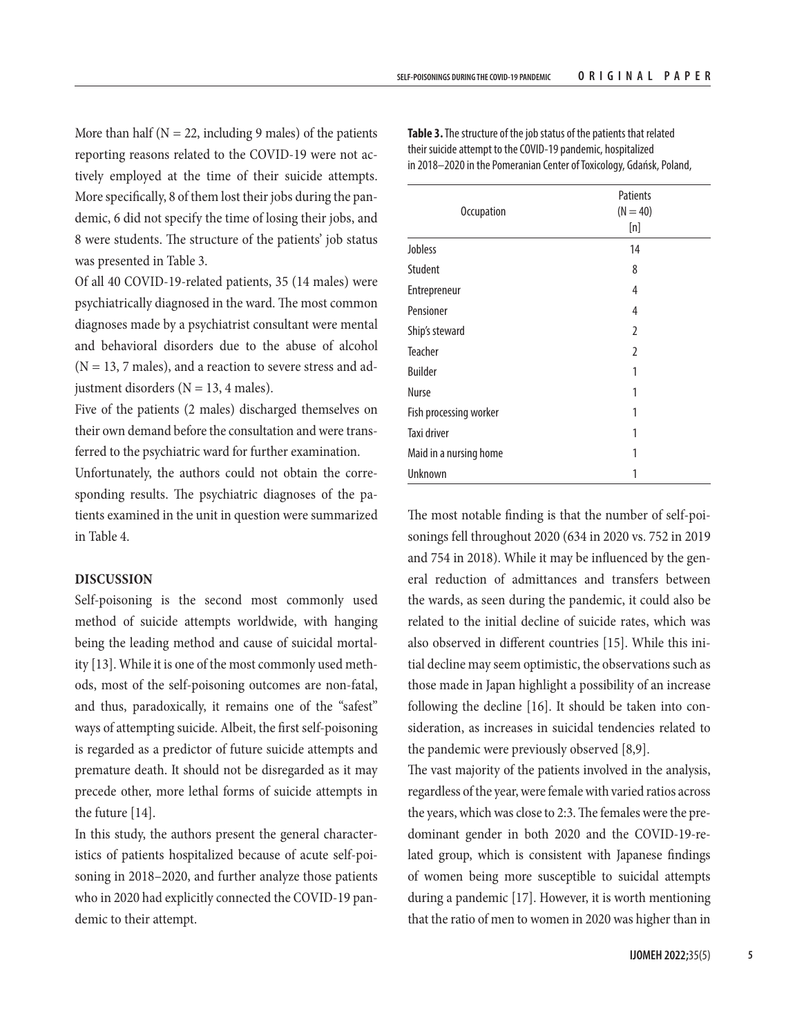More than half ( $N = 22$ , including 9 males) of the patients reporting reasons related to the COVID-19 were not actively employed at the time of their suicide attempts. More specifically, 8 of them lost their jobs during the pandemic, 6 did not specify the time of losing their jobs, and 8 were students. The structure of the patients' job status was presented in Table 3.

Of all 40 COVID-19-related patients, 35 (14 males) were psychiatrically diagnosed in the ward. The most common diagnoses made by a psychiatrist consultant were mental and behavioral disorders due to the abuse of alcohol  $(N = 13, 7 \text{ males})$ , and a reaction to severe stress and adjustment disorders ( $N = 13$ , 4 males).

Five of the patients (2 males) discharged themselves on their own demand before the consultation and were transferred to the psychiatric ward for further examination.

Unfortunately, the authors could not obtain the corresponding results. The psychiatric diagnoses of the patients examined in the unit in question were summarized in Table 4.

# **DISCUSSION**

Self-poisoning is the second most commonly used method of suicide attempts worldwide, with hanging being the leading method and cause of suicidal mortality [13]. While it is one of the most commonly used methods, most of the self-poisoning outcomes are non-fatal, and thus, paradoxically, it remains one of the "safest" ways of attempting suicide. Albeit, the first self-poisoning is regarded as a predictor of future suicide attempts and premature death. It should not be disregarded as it may precede other, more lethal forms of suicide attempts in the future [14].

In this study, the authors present the general characteristics of patients hospitalized because of acute self-poisoning in 2018–2020, and further analyze those patients who in 2020 had explicitly connected the COVID-19 pandemic to their attempt.

|                        | Patients       |  |  |
|------------------------|----------------|--|--|
| <b>Occupation</b>      | $(N = 40)$     |  |  |
|                        | [n]            |  |  |
| Jobless                | 14             |  |  |
| Student                | 8              |  |  |
| Entrepreneur           | 4              |  |  |
| Pensioner              | 4              |  |  |
| Ship's steward         | $\overline{2}$ |  |  |
| <b>Teacher</b>         | $\overline{2}$ |  |  |
| <b>Builder</b>         | 1              |  |  |
| <b>Nurse</b>           | 1              |  |  |
| Fish processing worker | 1              |  |  |
| Taxi driver            | 1              |  |  |
| Maid in a nursing home | 1              |  |  |
| Unknown                | 1              |  |  |

**Table 3.** The structure of the job status of the patients that related their suicide attempt to the COVID-19 pandemic, hospitalized in 2018–2020 in the Pomeranian Center of Toxicology, Gdańsk, Poland,

The most notable finding is that the number of self-poisonings fell throughout 2020 (634 in 2020 vs. 752 in 2019 and 754 in 2018). While it may be influenced by the general reduction of admittances and transfers between the wards, as seen during the pandemic, it could also be related to the initial decline of suicide rates, which was also observed in different countries [15]. While this initial decline may seem optimistic, the observations such as those made in Japan highlight a possibility of an increase following the decline [16]. It should be taken into consideration, as increases in suicidal tendencies related to the pandemic were previously observed [8,9].

The vast majority of the patients involved in the analysis, regardless of the year, were female with varied ratios across the years, which was close to 2:3. The females were the predominant gender in both 2020 and the COVID-19-related group, which is consistent with Japanese findings of women being more susceptible to suicidal attempts during a pandemic [17]. However, it is worth mentioning that the ratio of men to women in 2020 was higher than in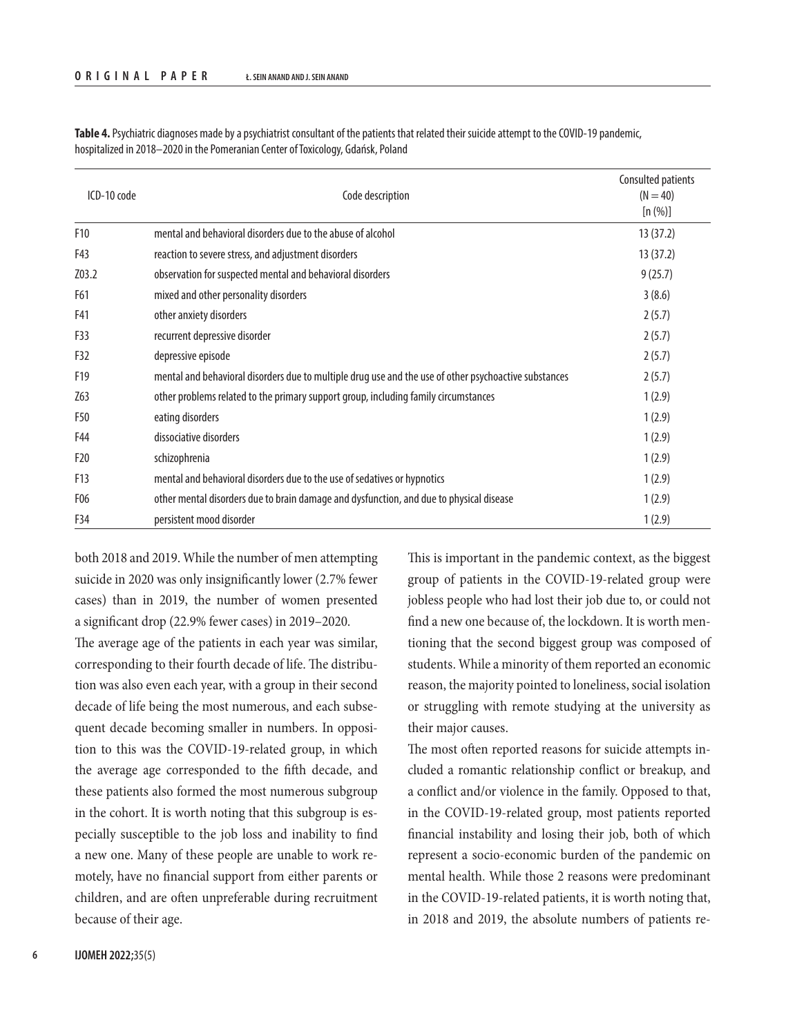| ICD-10 code     | Code description                                                                                      | Consulted patients<br>$(N = 40)$<br>[n (%)] |
|-----------------|-------------------------------------------------------------------------------------------------------|---------------------------------------------|
| F <sub>10</sub> | mental and behavioral disorders due to the abuse of alcohol                                           | 13(37.2)                                    |
| F43             | reaction to severe stress, and adjustment disorders                                                   | 13(37.2)                                    |
| Z03.2           | observation for suspected mental and behavioral disorders                                             | 9(25.7)                                     |
| F61             | mixed and other personality disorders                                                                 | 3(8.6)                                      |
| F41             | other anxiety disorders                                                                               | 2(5.7)                                      |
| F33             | recurrent depressive disorder                                                                         | 2(5.7)                                      |
| F32             | depressive episode                                                                                    | 2(5.7)                                      |
| F19             | mental and behavioral disorders due to multiple drug use and the use of other psychoactive substances | 2(5.7)                                      |
| Z63             | other problems related to the primary support group, including family circumstances                   | 1(2.9)                                      |
| F50             | eating disorders                                                                                      | 1(2.9)                                      |
| F44             | dissociative disorders                                                                                | 1(2.9)                                      |
| F <sub>20</sub> | schizophrenia                                                                                         | 1(2.9)                                      |
| F13             | mental and behavioral disorders due to the use of sedatives or hypnotics                              | 1(2.9)                                      |
| F <sub>06</sub> | other mental disorders due to brain damage and dysfunction, and due to physical disease               | 1(2.9)                                      |
| F34             | persistent mood disorder                                                                              | 1(2.9)                                      |

Table 4. Psychiatric diagnoses made by a psychiatrist consultant of the patients that related their suicide attempt to the COVID-19 pandemic, hospitalized in 2018–2020 in the Pomeranian Center of Toxicology, Gdańsk, Poland

both 2018 and 2019. While the number of men attempting suicide in 2020 was only insignificantly lower (2.7% fewer cases) than in 2019, the number of women presented a significant drop (22.9% fewer cases) in 2019–2020.

The average age of the patients in each year was similar, corresponding to their fourth decade of life. The distribution was also even each year, with a group in their second decade of life being the most numerous, and each subsequent decade becoming smaller in numbers. In opposition to this was the COVID-19-related group, in which the average age corresponded to the fifth decade, and these patients also formed the most numerous subgroup in the cohort. It is worth noting that this subgroup is especially susceptible to the job loss and inability to find a new one. Many of these people are unable to work remotely, have no financial support from either parents or children, and are often unpreferable during recruitment because of their age.

This is important in the pandemic context, as the biggest group of patients in the COVID-19-related group were jobless people who had lost their job due to, or could not find a new one because of, the lockdown. It is worth mentioning that the second biggest group was composed of students. While a minority of them reported an economic reason, the majority pointed to loneliness, social isolation or struggling with remote studying at the university as their major causes.

The most often reported reasons for suicide attempts included a romantic relationship conflict or breakup, and a conflict and/or violence in the family. Opposed to that, in the COVID-19-related group, most patients reported financial instability and losing their job, both of which represent a socio-economic burden of the pandemic on mental health. While those 2 reasons were predominant in the COVID-19-related patients, it is worth noting that, in 2018 and 2019, the absolute numbers of patients re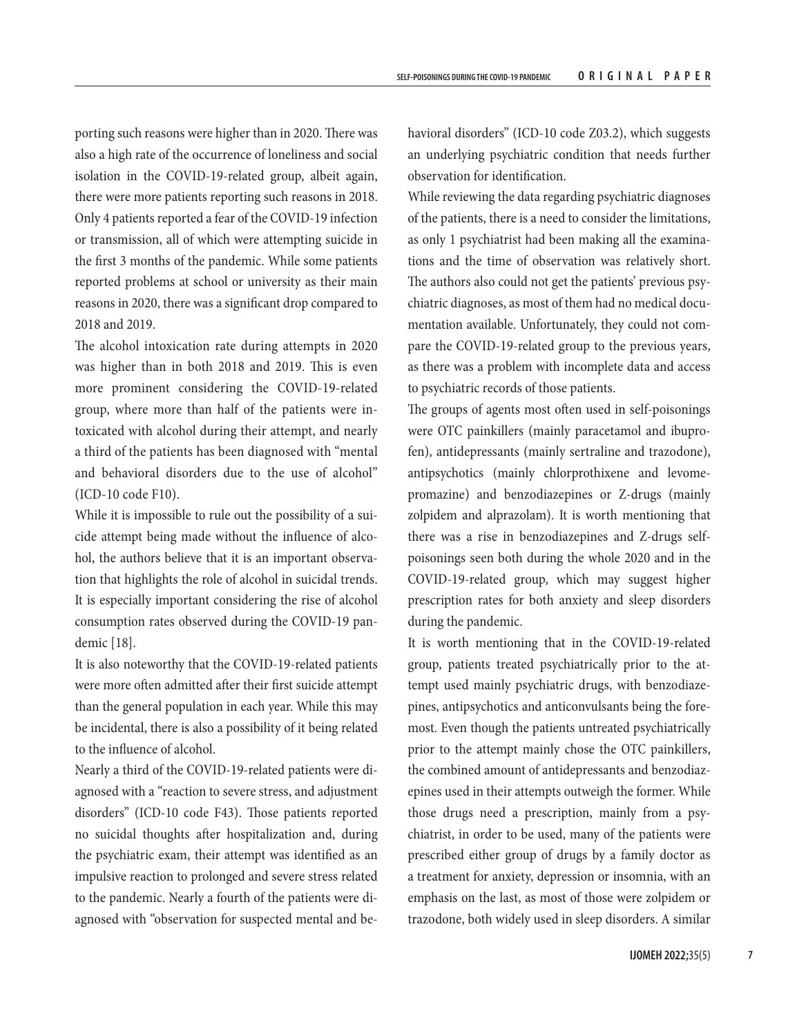porting such reasons were higher than in 2020. There was also a high rate of the occurrence of loneliness and social isolation in the COVID-19-related group, albeit again, there were more patients reporting such reasons in 2018. Only 4 patients reported a fear of the COVID-19 infection or transmission, all of which were attempting suicide in the first 3 months of the pandemic. While some patients reported problems at school or university as their main reasons in 2020, there was a significant drop compared to 2018 and 2019.

The alcohol intoxication rate during attempts in 2020 was higher than in both 2018 and 2019. This is even more prominent considering the COVID-19-related group, where more than half of the patients were intoxicated with alcohol during their attempt, and nearly a third of the patients has been diagnosed with "mental and behavioral disorders due to the use of alcohol" (ICD-10 code F10).

While it is impossible to rule out the possibility of a suicide attempt being made without the influence of alcohol, the authors believe that it is an important observation that highlights the role of alcohol in suicidal trends. It is especially important considering the rise of alcohol consumption rates observed during the COVID-19 pandemic [18].

It is also noteworthy that the COVID-19-related patients were more often admitted after their first suicide attempt than the general population in each year. While this may be incidental, there is also a possibility of it being related to the influence of alcohol.

Nearly a third of the COVID-19-related patients were diagnosed with a "reaction to severe stress, and adjustment disorders" (ICD-10 code F43). Those patients reported no suicidal thoughts after hospitalization and, during the psychiatric exam, their attempt was identified as an impulsive reaction to prolonged and severe stress related to the pandemic. Nearly a fourth of the patients were diagnosed with "observation for suspected mental and behavioral disorders" (ICD-10 code Z03.2), which suggests an underlying psychiatric condition that needs further observation for identification.

While reviewing the data regarding psychiatric diagnoses of the patients, there is a need to consider the limitations, as only 1 psychiatrist had been making all the examinations and the time of observation was relatively short. The authors also could not get the patients' previous psychiatric diagnoses, as most of them had no medical documentation available. Unfortunately, they could not compare the COVID-19-related group to the previous years, as there was a problem with incomplete data and access to psychiatric records of those patients.

The groups of agents most often used in self-poisonings were OTC painkillers (mainly paracetamol and ibuprofen), antidepressants (mainly sertraline and trazodone), antipsychotics (mainly chlorprothixene and levomepromazine) and benzodiazepines or Z-drugs (mainly zolpidem and alprazolam). It is worth mentioning that there was a rise in benzodiazepines and Z-drugs selfpoisonings seen both during the whole 2020 and in the COVID-19-related group, which may suggest higher prescription rates for both anxiety and sleep disorders during the pandemic.

It is worth mentioning that in the COVID-19-related group, patients treated psychiatrically prior to the attempt used mainly psychiatric drugs, with benzodiazepines, antipsychotics and anticonvulsants being the foremost. Even though the patients untreated psychiatrically prior to the attempt mainly chose the OTC painkillers, the combined amount of antidepressants and benzodiazepines used in their attempts outweigh the former. While those drugs need a prescription, mainly from a psychiatrist, in order to be used, many of the patients were prescribed either group of drugs by a family doctor as a treatment for anxiety, depression or insomnia, with an emphasis on the last, as most of those were zolpidem or trazodone, both widely used in sleep disorders. A similar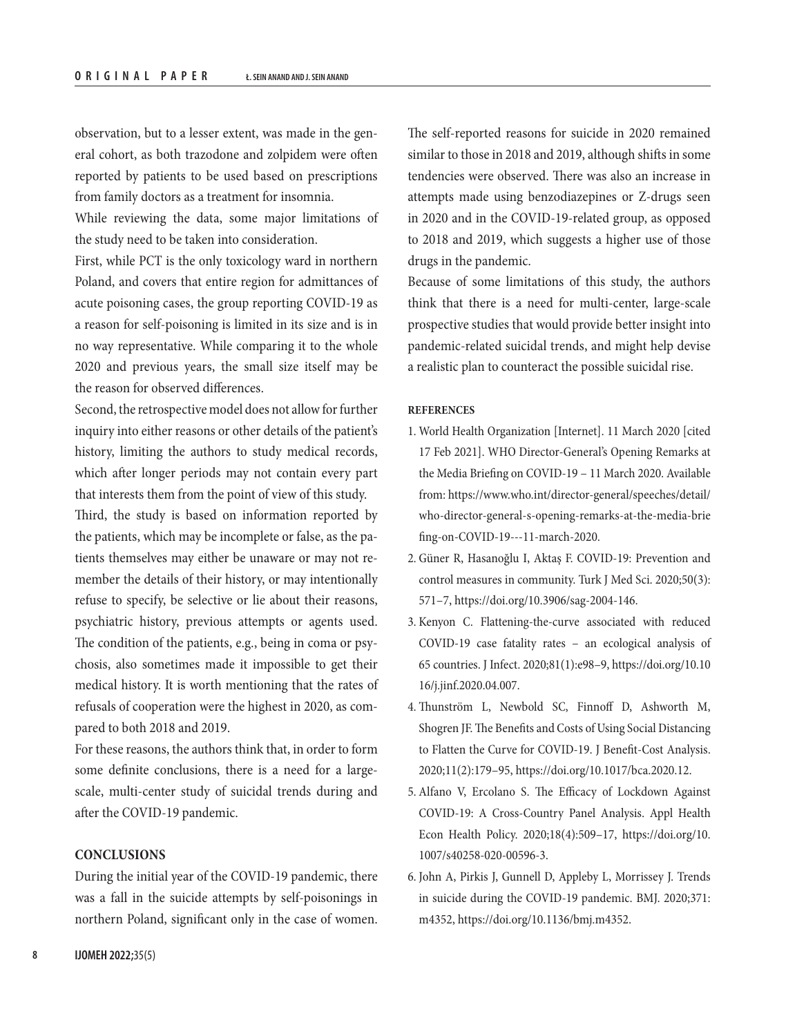observation, but to a lesser extent, was made in the general cohort, as both trazodone and zolpidem were often reported by patients to be used based on prescriptions from family doctors as a treatment for insomnia.

While reviewing the data, some major limitations of the study need to be taken into consideration.

First, while PCT is the only toxicology ward in northern Poland, and covers that entire region for admittances of acute poisoning cases, the group reporting COVID-19 as a reason for self-poisoning is limited in its size and is in no way representative. While comparing it to the whole 2020 and previous years, the small size itself may be the reason for observed differences.

Second, the retrospective model does not allow for further inquiry into either reasons or other details of the patient's history, limiting the authors to study medical records, which after longer periods may not contain every part that interests them from the point of view of this study.

Third, the study is based on information reported by the patients, which may be incomplete or false, as the patients themselves may either be unaware or may not remember the details of their history, or may intentionally refuse to specify, be selective or lie about their reasons, psychiatric history, previous attempts or agents used. The condition of the patients, e.g., being in coma or psychosis, also sometimes made it impossible to get their medical history. It is worth mentioning that the rates of refusals of cooperation were the highest in 2020, as compared to both 2018 and 2019.

For these reasons, the authors think that, in order to form some definite conclusions, there is a need for a largescale, multi-center study of suicidal trends during and after the COVID-19 pandemic.

# **CONCLUSIONS**

During the initial year of the COVID-19 pandemic, there was a fall in the suicide attempts by self-poisonings in northern Poland, significant only in the case of women.

The self-reported reasons for suicide in 2020 remained similar to those in 2018 and 2019, although shifts in some tendencies were observed. There was also an increase in attempts made using benzodiazepines or Z-drugs seen in 2020 and in the COVID-19-related group, as opposed to 2018 and 2019, which suggests a higher use of those drugs in the pandemic.

Because of some limitations of this study, the authors think that there is a need for multi-center, large-scale prospective studies that would provide better insight into pandemic-related suicidal trends, and might help devise a realistic plan to counteract the possible suicidal rise.

### **REFERENCES**

- 1. World Health Organization [Internet]. 11 March 2020 [cited 17 Feb 2021]. WHO Director-General's Opening Remarks at the Media Briefing on COVID-19 – 11 March 2020. Available from: [https://www.who.int/director-general/speeches/detail/](https://www.who.int/director-general/speeches/detail/who-director-general-s-opening-remarks-at-the-media-briefing-on-covid-19---11-march-2020) [who-director-general-s-opening-remarks-at-the-media-brie](https://www.who.int/director-general/speeches/detail/who-director-general-s-opening-remarks-at-the-media-briefing-on-covid-19---11-march-2020) [fing-on-COVID-19---11-march-2020.](https://www.who.int/director-general/speeches/detail/who-director-general-s-opening-remarks-at-the-media-briefing-on-covid-19---11-march-2020)
- 2. Güner R, Hasanoğlu I, Aktaş F. COVID-19: Prevention and control measures in community. Turk J Med Sci. 2020;50(3): 571–7, <https://doi.org/10.3906/sag-2004-146>.
- 3. Kenyon C. Flattening-the-curve associated with reduced COVID-19 case fatality rates – an ecological analysis of 65 countries. J Infect. 2020;81(1):e98–9, [https://doi.org/10.10](https://doi.org/10.1016/j.jinf.2020.04.007) [16/j.jinf.2020.04.007.](https://doi.org/10.1016/j.jinf.2020.04.007)
- 4. Thunström L, Newbold SC, Finnoff D, Ashworth M, Shogren JF. The Benefits and Costs of Using Social Distancing to Flatten the Curve for COVID-19. J Benefit-Cost Analysis. 2020;11(2):179–95, <https://doi.org/10.1017/bca.2020.12>.
- 5. Alfano V, Ercolano S. The Efficacy of Lockdown Against COVID-19: A Cross-Country Panel Analysis. Appl Health Econ Health Policy. 2020;18(4):509–17, [https://doi.org/10.](https://doi.org/10.1007/s40258-020-00596-3) [1007/s40258-020-00596-3](https://doi.org/10.1007/s40258-020-00596-3).
- 6. John A, Pirkis J, Gunnell D, Appleby L, Morrissey J. Trends in suicide during the COVID-19 pandemic. BMJ. 2020;371: m4352,<https://doi.org/10.1136/bmj.m4352>.